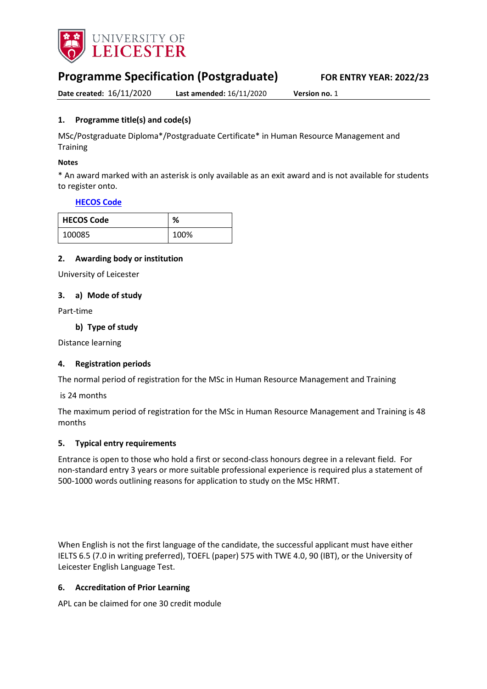

# **Programme Specification (Postgraduate) FOR ENTRY YEAR: 2022/23**

**Date created:** 16/11/2020 **Last amended:** 16/11/2020 **Version no.** 1

# <span id="page-0-0"></span>**1. Programme title(s) and code(s)**

MSc/Postgraduate Diploma\*/Postgraduate Certificate\* in Human Resource Management and **Training** 

#### **Notes**

\* An award marked with an asterisk is only available as an exit award and is not available for students to register onto.

#### **[HECOS Code](https://www.hesa.ac.uk/innovation/hecos)**

| <b>HECOS Code</b> | %    |
|-------------------|------|
| 100085            | 100% |

#### **2. Awarding body or institution**

University of Leicester

#### **3. a) Mode of study**

Part-time

#### **b) Type of study**

Distance learning

#### **4. Registration periods**

The normal period of registration for the MSc in Human Resource Management and Training

#### is 24 months

The maximum period of registration for the MSc in Human Resource Management and Training is 48 months

#### **5. Typical entry requirements**

Entrance is open to those who hold a first or second-class honours degree in a relevant field. For non-standard entry 3 years or more suitable professional experience is required plus a statement of 500-1000 words outlining reasons for application to study on the MSc HRMT. 

When English is not the first language of the candidate, the successful applicant must have either IELTS 6.5 (7.0 in writing preferred), TOEFL (paper) 575 with TWE 4.0, 90 (IBT), or the University of Leicester English Language Test.

#### **6. Accreditation of Prior Learning**

APL can be claimed for one 30 credit module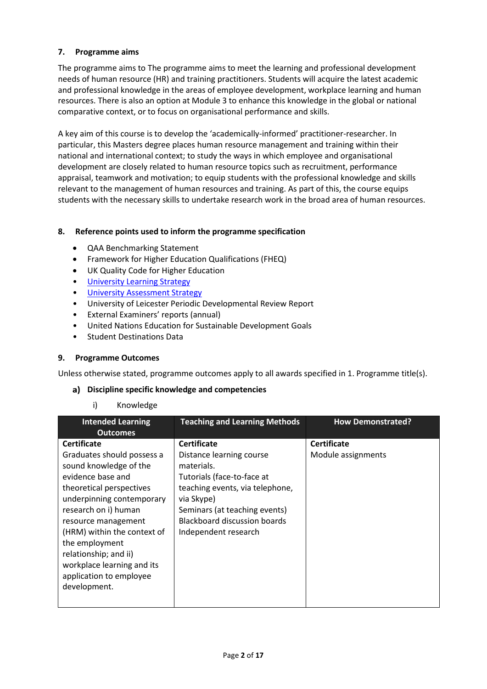# **7. Programme aims**

The programme aims to The programme aims to meet the learning and professional development needs of human resource (HR) and training practitioners. Students will acquire the latest academic and professional knowledge in the areas of employee development, workplace learning and human resources. There is also an option at Module 3 to enhance this knowledge in the global or national comparative context, or to focus on organisational performance and skills.

A key aim of this course is to develop the 'academically-informed' practitioner-researcher. In particular, this Masters degree places human resource management and training within their national and international context; to study the ways in which employee and organisational development are closely related to human resource topics such as recruitment, performance appraisal, teamwork and motivation; to equip students with the professional knowledge and skills relevant to the management of human resources and training. As part of this, the course equips students with the necessary skills to undertake research work in the broad area of human resources.

# **8. Reference points used to inform the programme specification**

- QAA Benchmarking Statement
- Framework for Higher Education Qualifications (FHEQ)
- UK Quality Code for Higher Education
- [University Learning](https://www2.le.ac.uk/offices/sas2/quality/learnteach) Strategy
- [University Assessment Strategy](https://www2.le.ac.uk/offices/sas2/quality/learnteach)
- University of Leicester Periodic Developmental Review Report
- External Examiners' reports (annual)
- United Nations Education for Sustainable Development Goals
- Student Destinations Data

# **9. Programme Outcomes**

Unless otherwise stated, programme outcomes apply to all awards specified in [1.](#page-0-0) Programme title(s).

# **Discipline specific knowledge and competencies**

#### i) Knowledge

| <b>Intended Learning</b><br><b>Outcomes</b>                                                                                                                                                                                                                                                                                                                | <b>Teaching and Learning Methods</b>                                                                                                                                                                                                 | <b>How Demonstrated?</b>                 |
|------------------------------------------------------------------------------------------------------------------------------------------------------------------------------------------------------------------------------------------------------------------------------------------------------------------------------------------------------------|--------------------------------------------------------------------------------------------------------------------------------------------------------------------------------------------------------------------------------------|------------------------------------------|
| <b>Certificate</b><br>Graduates should possess a<br>sound knowledge of the<br>evidence base and<br>theoretical perspectives<br>underpinning contemporary<br>research on i) human<br>resource management<br>(HRM) within the context of<br>the employment<br>relationship; and ii)<br>workplace learning and its<br>application to employee<br>development. | <b>Certificate</b><br>Distance learning course<br>materials.<br>Tutorials (face-to-face at<br>teaching events, via telephone,<br>via Skype)<br>Seminars (at teaching events)<br>Blackboard discussion boards<br>Independent research | <b>Certificate</b><br>Module assignments |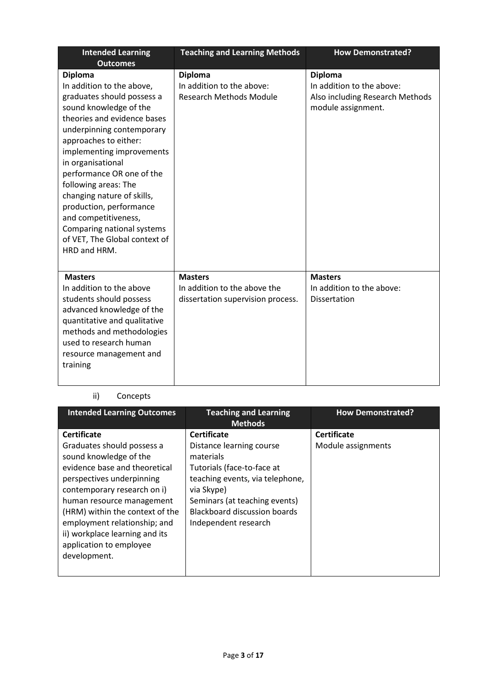| <b>Intended Learning</b><br><b>Outcomes</b>                                                                                                                                                                                                                                                                                                                                                                                                                     | <b>Teaching and Learning Methods</b>                                                | <b>How Demonstrated?</b>                                                                             |
|-----------------------------------------------------------------------------------------------------------------------------------------------------------------------------------------------------------------------------------------------------------------------------------------------------------------------------------------------------------------------------------------------------------------------------------------------------------------|-------------------------------------------------------------------------------------|------------------------------------------------------------------------------------------------------|
| <b>Diploma</b><br>In addition to the above,<br>graduates should possess a<br>sound knowledge of the<br>theories and evidence bases<br>underpinning contemporary<br>approaches to either:<br>implementing improvements<br>in organisational<br>performance OR one of the<br>following areas: The<br>changing nature of skills,<br>production, performance<br>and competitiveness,<br>Comparing national systems<br>of VET, The Global context of<br>HRD and HRM. | <b>Diploma</b><br>In addition to the above:<br><b>Research Methods Module</b>       | <b>Diploma</b><br>In addition to the above:<br>Also including Research Methods<br>module assignment. |
| <b>Masters</b><br>In addition to the above<br>students should possess<br>advanced knowledge of the<br>quantitative and qualitative<br>methods and methodologies<br>used to research human<br>resource management and<br>training                                                                                                                                                                                                                                | <b>Masters</b><br>In addition to the above the<br>dissertation supervision process. | <b>Masters</b><br>In addition to the above:<br><b>Dissertation</b>                                   |

# ii) Concepts

| <b>Intended Learning Outcomes</b>                                                                                                                                                                                                                                                                                                                    | <b>Teaching and Learning</b><br><b>Methods</b>                                                                                                                                                                                             | <b>How Demonstrated?</b>                 |
|------------------------------------------------------------------------------------------------------------------------------------------------------------------------------------------------------------------------------------------------------------------------------------------------------------------------------------------------------|--------------------------------------------------------------------------------------------------------------------------------------------------------------------------------------------------------------------------------------------|------------------------------------------|
| <b>Certificate</b><br>Graduates should possess a<br>sound knowledge of the<br>evidence base and theoretical<br>perspectives underpinning<br>contemporary research on i)<br>human resource management<br>(HRM) within the context of the<br>employment relationship; and<br>ii) workplace learning and its<br>application to employee<br>development. | <b>Certificate</b><br>Distance learning course<br>materials<br>Tutorials (face-to-face at<br>teaching events, via telephone,<br>via Skype)<br>Seminars (at teaching events)<br><b>Blackboard discussion boards</b><br>Independent research | <b>Certificate</b><br>Module assignments |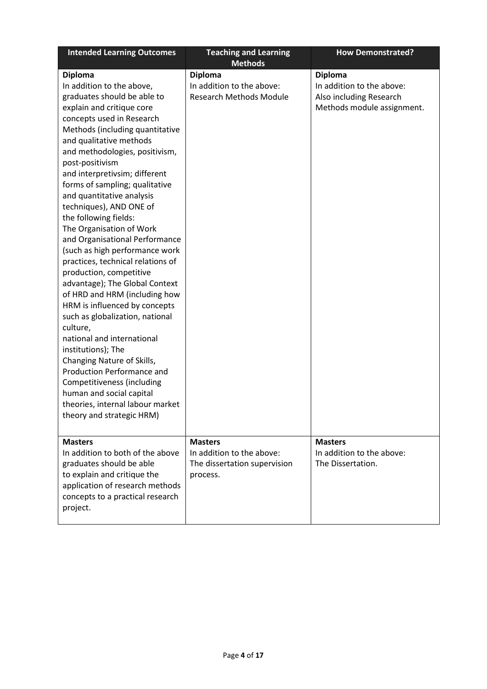| <b>Intended Learning Outcomes</b>                                                                                                                                                                                                                                                                                                                                                                                                                                                                                                                                                                                                                                                                                                                                                                                                                                                                                                                                                | <b>Teaching and Learning</b><br><b>Methods</b>                                          | <b>How Demonstrated?</b>                                                                             |
|----------------------------------------------------------------------------------------------------------------------------------------------------------------------------------------------------------------------------------------------------------------------------------------------------------------------------------------------------------------------------------------------------------------------------------------------------------------------------------------------------------------------------------------------------------------------------------------------------------------------------------------------------------------------------------------------------------------------------------------------------------------------------------------------------------------------------------------------------------------------------------------------------------------------------------------------------------------------------------|-----------------------------------------------------------------------------------------|------------------------------------------------------------------------------------------------------|
| <b>Diploma</b><br>In addition to the above,<br>graduates should be able to<br>explain and critique core<br>concepts used in Research<br>Methods (including quantitative<br>and qualitative methods<br>and methodologies, positivism,<br>post-positivism<br>and interpretivsim; different<br>forms of sampling; qualitative<br>and quantitative analysis<br>techniques), AND ONE of<br>the following fields:<br>The Organisation of Work<br>and Organisational Performance<br>(such as high performance work<br>practices, technical relations of<br>production, competitive<br>advantage); The Global Context<br>of HRD and HRM (including how<br>HRM is influenced by concepts<br>such as globalization, national<br>culture,<br>national and international<br>institutions); The<br>Changing Nature of Skills,<br><b>Production Performance and</b><br>Competitiveness (including<br>human and social capital<br>theories, internal labour market<br>theory and strategic HRM) | <b>Diploma</b><br>In addition to the above:<br><b>Research Methods Module</b>           | <b>Diploma</b><br>In addition to the above:<br>Also including Research<br>Methods module assignment. |
| <b>Masters</b><br>In addition to both of the above<br>graduates should be able<br>to explain and critique the<br>application of research methods<br>concepts to a practical research<br>project.                                                                                                                                                                                                                                                                                                                                                                                                                                                                                                                                                                                                                                                                                                                                                                                 | <b>Masters</b><br>In addition to the above:<br>The dissertation supervision<br>process. | <b>Masters</b><br>In addition to the above:<br>The Dissertation.                                     |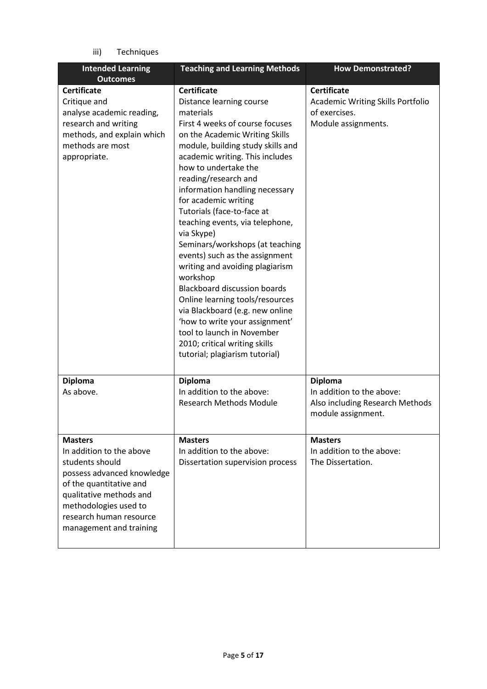iii) Techniques

| <b>Intended Learning</b>                                                                                                                                                                                                         | <b>Teaching and Learning Methods</b>                                                                                                                                                                                                                                                                                                                                                                                                                                                                                                                                                                                                                                                                                                                                  | <b>How Demonstrated?</b>                                                                               |
|----------------------------------------------------------------------------------------------------------------------------------------------------------------------------------------------------------------------------------|-----------------------------------------------------------------------------------------------------------------------------------------------------------------------------------------------------------------------------------------------------------------------------------------------------------------------------------------------------------------------------------------------------------------------------------------------------------------------------------------------------------------------------------------------------------------------------------------------------------------------------------------------------------------------------------------------------------------------------------------------------------------------|--------------------------------------------------------------------------------------------------------|
| <b>Outcomes</b>                                                                                                                                                                                                                  |                                                                                                                                                                                                                                                                                                                                                                                                                                                                                                                                                                                                                                                                                                                                                                       |                                                                                                        |
| <b>Certificate</b><br>Critique and<br>analyse academic reading,<br>research and writing<br>methods, and explain which<br>methods are most<br>appropriate.                                                                        | <b>Certificate</b><br>Distance learning course<br>materials<br>First 4 weeks of course focuses<br>on the Academic Writing Skills<br>module, building study skills and<br>academic writing. This includes<br>how to undertake the<br>reading/research and<br>information handling necessary<br>for academic writing<br>Tutorials (face-to-face at<br>teaching events, via telephone,<br>via Skype)<br>Seminars/workshops (at teaching<br>events) such as the assignment<br>writing and avoiding plagiarism<br>workshop<br><b>Blackboard discussion boards</b><br>Online learning tools/resources<br>via Blackboard (e.g. new online<br>'how to write your assignment'<br>tool to launch in November<br>2010; critical writing skills<br>tutorial; plagiarism tutorial) | <b>Certificate</b><br><b>Academic Writing Skills Portfolio</b><br>of exercises.<br>Module assignments. |
| <b>Diploma</b><br>As above.                                                                                                                                                                                                      | <b>Diploma</b><br>In addition to the above:<br><b>Research Methods Module</b>                                                                                                                                                                                                                                                                                                                                                                                                                                                                                                                                                                                                                                                                                         | <b>Diploma</b><br>In addition to the above:<br>Also including Research Methods<br>module assignment.   |
| <b>Masters</b><br>In addition to the above<br>students should<br>possess advanced knowledge<br>of the quantitative and<br>qualitative methods and<br>methodologies used to<br>research human resource<br>management and training | <b>Masters</b><br>In addition to the above:<br>Dissertation supervision process                                                                                                                                                                                                                                                                                                                                                                                                                                                                                                                                                                                                                                                                                       | <b>Masters</b><br>In addition to the above:<br>The Dissertation.                                       |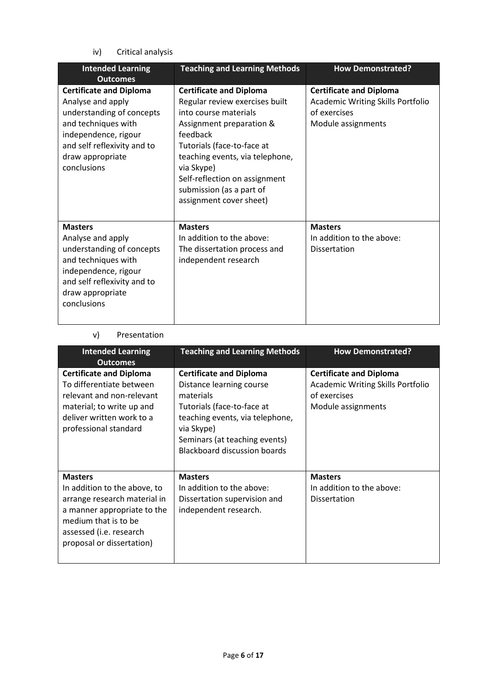iv) Critical analysis

| <b>Intended Learning</b><br><b>Outcomes</b>                                                                                                                                                       | <b>Teaching and Learning Methods</b>                                                                                                                                                                                                                                                                     | <b>How Demonstrated?</b>                                                                                         |
|---------------------------------------------------------------------------------------------------------------------------------------------------------------------------------------------------|----------------------------------------------------------------------------------------------------------------------------------------------------------------------------------------------------------------------------------------------------------------------------------------------------------|------------------------------------------------------------------------------------------------------------------|
| <b>Certificate and Diploma</b><br>Analyse and apply<br>understanding of concepts<br>and techniques with<br>independence, rigour<br>and self reflexivity and to<br>draw appropriate<br>conclusions | <b>Certificate and Diploma</b><br>Regular review exercises built<br>into course materials<br>Assignment preparation &<br>feedback<br>Tutorials (face-to-face at<br>teaching events, via telephone,<br>via Skype)<br>Self-reflection on assignment<br>submission (as a part of<br>assignment cover sheet) | <b>Certificate and Diploma</b><br><b>Academic Writing Skills Portfolio</b><br>of exercises<br>Module assignments |
| <b>Masters</b><br>Analyse and apply<br>understanding of concepts<br>and techniques with<br>independence, rigour<br>and self reflexivity and to<br>draw appropriate<br>conclusions                 | <b>Masters</b><br>In addition to the above:<br>The dissertation process and<br>independent research                                                                                                                                                                                                      | <b>Masters</b><br>In addition to the above:<br>Dissertation                                                      |

#### v) Presentation

| <b>Intended Learning</b><br><b>Outcomes</b>                                                                                                                                                   | <b>Teaching and Learning Methods</b>                                                                                                                                                                                    | <b>How Demonstrated?</b>                                                                                         |
|-----------------------------------------------------------------------------------------------------------------------------------------------------------------------------------------------|-------------------------------------------------------------------------------------------------------------------------------------------------------------------------------------------------------------------------|------------------------------------------------------------------------------------------------------------------|
| <b>Certificate and Diploma</b><br>To differentiate between<br>relevant and non-relevant<br>material; to write up and<br>deliver written work to a<br>professional standard                    | <b>Certificate and Diploma</b><br>Distance learning course<br>materials<br>Tutorials (face-to-face at<br>teaching events, via telephone,<br>via Skype)<br>Seminars (at teaching events)<br>Blackboard discussion boards | <b>Certificate and Diploma</b><br><b>Academic Writing Skills Portfolio</b><br>of exercises<br>Module assignments |
| <b>Masters</b><br>In addition to the above, to<br>arrange research material in<br>a manner appropriate to the<br>medium that is to be<br>assessed (i.e. research<br>proposal or dissertation) | <b>Masters</b><br>In addition to the above:<br>Dissertation supervision and<br>independent research.                                                                                                                    | <b>Masters</b><br>In addition to the above:<br><b>Dissertation</b>                                               |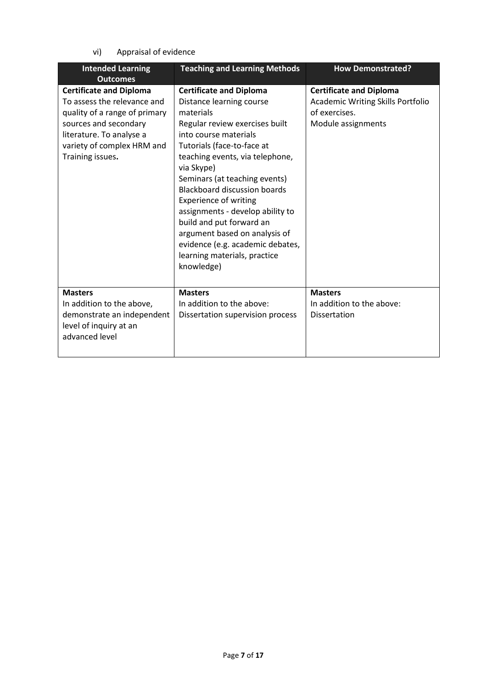vi) Appraisal of evidence

| <b>Intended Learning</b>                                                                                                                                                                              | <b>Teaching and Learning Methods</b>                                                                                                                                                                                                                                                                                                                                                                                                                                                                         | <b>How Demonstrated?</b>                                                                                          |
|-------------------------------------------------------------------------------------------------------------------------------------------------------------------------------------------------------|--------------------------------------------------------------------------------------------------------------------------------------------------------------------------------------------------------------------------------------------------------------------------------------------------------------------------------------------------------------------------------------------------------------------------------------------------------------------------------------------------------------|-------------------------------------------------------------------------------------------------------------------|
| <b>Outcomes</b>                                                                                                                                                                                       |                                                                                                                                                                                                                                                                                                                                                                                                                                                                                                              |                                                                                                                   |
| <b>Certificate and Diploma</b><br>To assess the relevance and<br>quality of a range of primary<br>sources and secondary<br>literature. To analyse a<br>variety of complex HRM and<br>Training issues. | <b>Certificate and Diploma</b><br>Distance learning course<br>materials<br>Regular review exercises built<br>into course materials<br>Tutorials (face-to-face at<br>teaching events, via telephone,<br>via Skype)<br>Seminars (at teaching events)<br><b>Blackboard discussion boards</b><br><b>Experience of writing</b><br>assignments - develop ability to<br>build and put forward an<br>argument based on analysis of<br>evidence (e.g. academic debates,<br>learning materials, practice<br>knowledge) | <b>Certificate and Diploma</b><br><b>Academic Writing Skills Portfolio</b><br>of exercises.<br>Module assignments |
| <b>Masters</b><br>In addition to the above,<br>demonstrate an independent<br>level of inquiry at an<br>advanced level                                                                                 | <b>Masters</b><br>In addition to the above:<br>Dissertation supervision process                                                                                                                                                                                                                                                                                                                                                                                                                              | <b>Masters</b><br>In addition to the above:<br><b>Dissertation</b>                                                |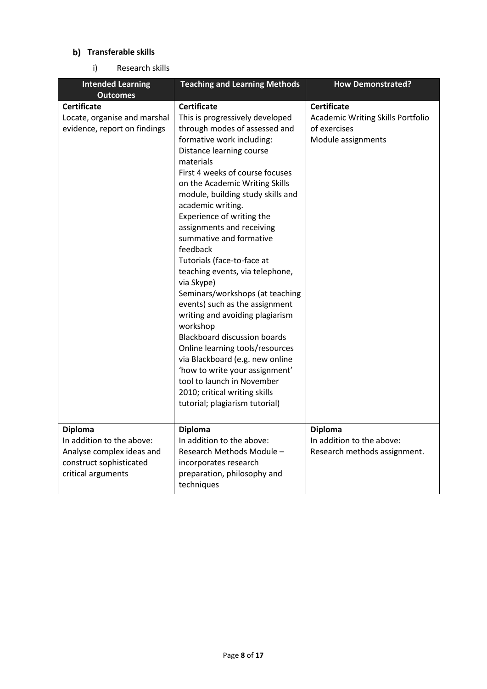# **b)** Transferable skills

i) Research skills

| <b>Intended Learning</b>                                                                                                  | <b>Teaching and Learning Methods</b>                                                                                                                                                                                                                                                                                                                                                                                                                                                                                                                                                                                                                                                                                                                                                                                                            | <b>How Demonstrated?</b>                                                                             |
|---------------------------------------------------------------------------------------------------------------------------|-------------------------------------------------------------------------------------------------------------------------------------------------------------------------------------------------------------------------------------------------------------------------------------------------------------------------------------------------------------------------------------------------------------------------------------------------------------------------------------------------------------------------------------------------------------------------------------------------------------------------------------------------------------------------------------------------------------------------------------------------------------------------------------------------------------------------------------------------|------------------------------------------------------------------------------------------------------|
| <b>Outcomes</b>                                                                                                           |                                                                                                                                                                                                                                                                                                                                                                                                                                                                                                                                                                                                                                                                                                                                                                                                                                                 |                                                                                                      |
| <b>Certificate</b><br>Locate, organise and marshal<br>evidence, report on findings                                        | <b>Certificate</b><br>This is progressively developed<br>through modes of assessed and<br>formative work including:<br>Distance learning course<br>materials<br>First 4 weeks of course focuses<br>on the Academic Writing Skills<br>module, building study skills and<br>academic writing.<br>Experience of writing the<br>assignments and receiving<br>summative and formative<br>feedback<br>Tutorials (face-to-face at<br>teaching events, via telephone,<br>via Skype)<br>Seminars/workshops (at teaching<br>events) such as the assignment<br>writing and avoiding plagiarism<br>workshop<br><b>Blackboard discussion boards</b><br>Online learning tools/resources<br>via Blackboard (e.g. new online<br>'how to write your assignment'<br>tool to launch in November<br>2010; critical writing skills<br>tutorial; plagiarism tutorial) | <b>Certificate</b><br><b>Academic Writing Skills Portfolio</b><br>of exercises<br>Module assignments |
| <b>Diploma</b><br>In addition to the above:<br>Analyse complex ideas and<br>construct sophisticated<br>critical arguments | <b>Diploma</b><br>In addition to the above:<br>Research Methods Module -<br>incorporates research<br>preparation, philosophy and<br>techniques                                                                                                                                                                                                                                                                                                                                                                                                                                                                                                                                                                                                                                                                                                  | <b>Diploma</b><br>In addition to the above:<br>Research methods assignment.                          |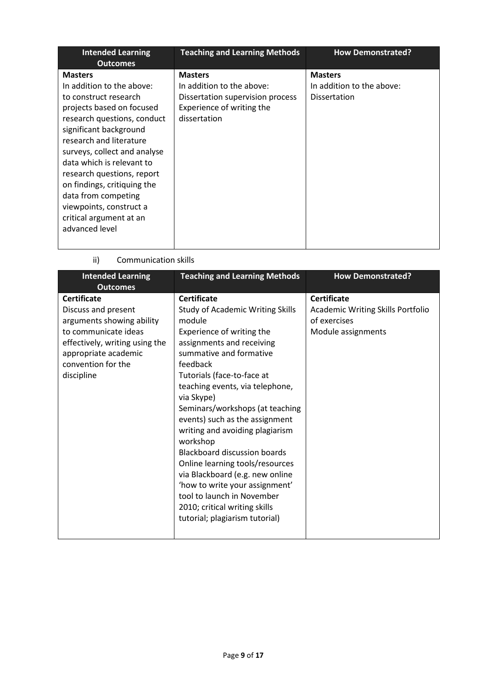| <b>Intended Learning</b><br><b>Outcomes</b>                                                                                                                                                                                                                                                                                                                                                                    | <b>Teaching and Learning Methods</b>                                                                                         | <b>How Demonstrated?</b>                                           |
|----------------------------------------------------------------------------------------------------------------------------------------------------------------------------------------------------------------------------------------------------------------------------------------------------------------------------------------------------------------------------------------------------------------|------------------------------------------------------------------------------------------------------------------------------|--------------------------------------------------------------------|
| <b>Masters</b><br>In addition to the above:<br>to construct research<br>projects based on focused<br>research questions, conduct<br>significant background<br>research and literature<br>surveys, collect and analyse<br>data which is relevant to<br>research questions, report<br>on findings, critiquing the<br>data from competing<br>viewpoints, construct a<br>critical argument at an<br>advanced level | <b>Masters</b><br>In addition to the above:<br>Dissertation supervision process<br>Experience of writing the<br>dissertation | <b>Masters</b><br>In addition to the above:<br><b>Dissertation</b> |

# ii) Communication skills

| <b>Intended Learning</b>                                                                                                                                                                     | <b>Teaching and Learning Methods</b>                                                                                                                                                                                                                                                                                                                                                                                                                                                                                                                                                                                        | <b>How Demonstrated?</b>                                                                      |
|----------------------------------------------------------------------------------------------------------------------------------------------------------------------------------------------|-----------------------------------------------------------------------------------------------------------------------------------------------------------------------------------------------------------------------------------------------------------------------------------------------------------------------------------------------------------------------------------------------------------------------------------------------------------------------------------------------------------------------------------------------------------------------------------------------------------------------------|-----------------------------------------------------------------------------------------------|
| <b>Outcomes</b>                                                                                                                                                                              |                                                                                                                                                                                                                                                                                                                                                                                                                                                                                                                                                                                                                             |                                                                                               |
| <b>Certificate</b><br>Discuss and present<br>arguments showing ability<br>to communicate ideas<br>effectively, writing using the<br>appropriate academic<br>convention for the<br>discipline | <b>Certificate</b><br><b>Study of Academic Writing Skills</b><br>module<br>Experience of writing the<br>assignments and receiving<br>summative and formative<br>feedback<br>Tutorials (face-to-face at<br>teaching events, via telephone,<br>via Skype)<br>Seminars/workshops (at teaching<br>events) such as the assignment<br>writing and avoiding plagiarism<br>workshop<br><b>Blackboard discussion boards</b><br>Online learning tools/resources<br>via Blackboard (e.g. new online<br>'how to write your assignment'<br>tool to launch in November<br>2010; critical writing skills<br>tutorial; plagiarism tutorial) | <b>Certificate</b><br>Academic Writing Skills Portfolio<br>of exercises<br>Module assignments |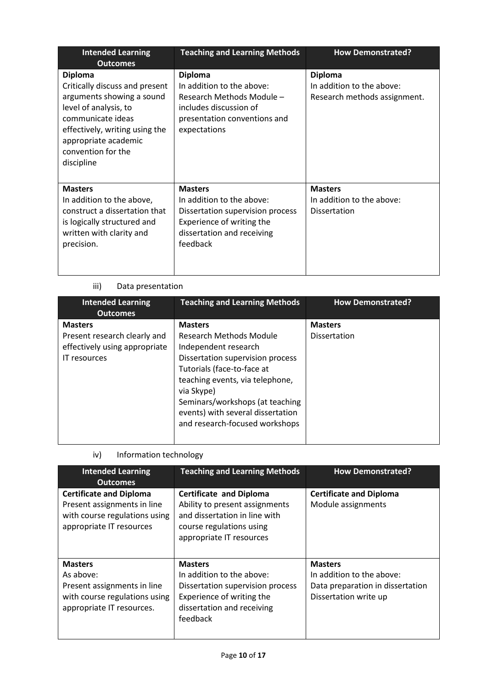| <b>Intended Learning</b><br><b>Outcomes</b>                                                                                                                                                                               | <b>Teaching and Learning Methods</b>                                                                                                                   | <b>How Demonstrated?</b>                                                    |
|---------------------------------------------------------------------------------------------------------------------------------------------------------------------------------------------------------------------------|--------------------------------------------------------------------------------------------------------------------------------------------------------|-----------------------------------------------------------------------------|
| <b>Diploma</b><br>Critically discuss and present<br>arguments showing a sound<br>level of analysis, to<br>communicate ideas<br>effectively, writing using the<br>appropriate academic<br>convention for the<br>discipline | <b>Diploma</b><br>In addition to the above:<br>Research Methods Module -<br>includes discussion of<br>presentation conventions and<br>expectations     | <b>Diploma</b><br>In addition to the above:<br>Research methods assignment. |
| <b>Masters</b><br>In addition to the above,<br>construct a dissertation that<br>is logically structured and<br>written with clarity and<br>precision.                                                                     | <b>Masters</b><br>In addition to the above:<br>Dissertation supervision process<br>Experience of writing the<br>dissertation and receiving<br>feedback | <b>Masters</b><br>In addition to the above:<br><b>Dissertation</b>          |

# iii) Data presentation

| <b>Intended Learning</b><br><b>Outcomes</b>                                                            | <b>Teaching and Learning Methods</b>                                                                                                                                                                                                                                                           | <b>How Demonstrated?</b>              |
|--------------------------------------------------------------------------------------------------------|------------------------------------------------------------------------------------------------------------------------------------------------------------------------------------------------------------------------------------------------------------------------------------------------|---------------------------------------|
| <b>Masters</b><br>Present research clearly and<br>effectively using appropriate<br><b>IT</b> resources | <b>Masters</b><br>Research Methods Module<br>Independent research<br>Dissertation supervision process<br>Tutorials (face-to-face at<br>teaching events, via telephone,<br>via Skype)<br>Seminars/workshops (at teaching<br>events) with several dissertation<br>and research-focused workshops | <b>Masters</b><br><b>Dissertation</b> |
|                                                                                                        |                                                                                                                                                                                                                                                                                                |                                       |

# iv) Information technology

| <b>Intended Learning</b><br><b>Outcomes</b>                                                                                | <b>Teaching and Learning Methods</b>                                                                                                                      | <b>How Demonstrated?</b>                                                                                 |
|----------------------------------------------------------------------------------------------------------------------------|-----------------------------------------------------------------------------------------------------------------------------------------------------------|----------------------------------------------------------------------------------------------------------|
| <b>Certificate and Diploma</b><br>Present assignments in line<br>with course regulations using<br>appropriate IT resources | <b>Certificate and Diploma</b><br>Ability to present assignments<br>and dissertation in line with<br>course regulations using<br>appropriate IT resources | <b>Certificate and Diploma</b><br>Module assignments                                                     |
| <b>Masters</b><br>As above:<br>Present assignments in line<br>with course regulations using<br>appropriate IT resources.   | <b>Masters</b><br>In addition to the above:<br>Dissertation supervision process<br>Experience of writing the<br>dissertation and receiving<br>feedback    | <b>Masters</b><br>In addition to the above:<br>Data preparation in dissertation<br>Dissertation write up |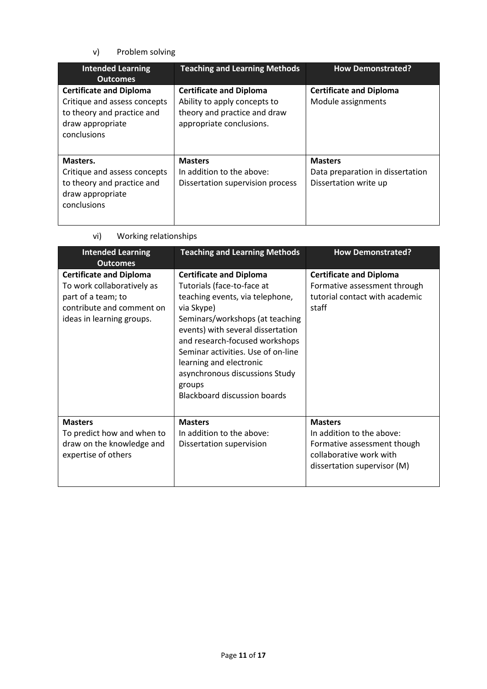v) Problem solving

| <b>Intended Learning</b><br><b>Outcomes</b>                                                                                     | <b>Teaching and Learning Methods</b>                                                                                       | <b>How Demonstrated?</b>                                                    |
|---------------------------------------------------------------------------------------------------------------------------------|----------------------------------------------------------------------------------------------------------------------------|-----------------------------------------------------------------------------|
| <b>Certificate and Diploma</b><br>Critique and assess concepts<br>to theory and practice and<br>draw appropriate<br>conclusions | <b>Certificate and Diploma</b><br>Ability to apply concepts to<br>theory and practice and draw<br>appropriate conclusions. | <b>Certificate and Diploma</b><br>Module assignments                        |
| Masters.<br>Critique and assess concepts<br>to theory and practice and<br>draw appropriate<br>conclusions                       | <b>Masters</b><br>In addition to the above:<br>Dissertation supervision process                                            | <b>Masters</b><br>Data preparation in dissertation<br>Dissertation write up |

| <b>Intended Learning</b>                                                                                                                     | <b>Teaching and Learning Methods</b>                                                                                                                                                                                                                                                                                                                                        | <b>How Demonstrated?</b>                                                                                                             |
|----------------------------------------------------------------------------------------------------------------------------------------------|-----------------------------------------------------------------------------------------------------------------------------------------------------------------------------------------------------------------------------------------------------------------------------------------------------------------------------------------------------------------------------|--------------------------------------------------------------------------------------------------------------------------------------|
| <b>Outcomes</b>                                                                                                                              |                                                                                                                                                                                                                                                                                                                                                                             |                                                                                                                                      |
| <b>Certificate and Diploma</b><br>To work collaboratively as<br>part of a team; to<br>contribute and comment on<br>ideas in learning groups. | <b>Certificate and Diploma</b><br>Tutorials (face-to-face at<br>teaching events, via telephone,<br>via Skype)<br>Seminars/workshops (at teaching<br>events) with several dissertation<br>and research-focused workshops<br>Seminar activities. Use of on-line<br>learning and electronic<br>asynchronous discussions Study<br>groups<br><b>Blackboard discussion boards</b> | <b>Certificate and Diploma</b><br>Formative assessment through<br>tutorial contact with academic<br>staff                            |
| <b>Masters</b><br>To predict how and when to<br>draw on the knowledge and<br>expertise of others                                             | <b>Masters</b><br>In addition to the above:<br>Dissertation supervision                                                                                                                                                                                                                                                                                                     | <b>Masters</b><br>In addition to the above:<br>Formative assessment though<br>collaborative work with<br>dissertation supervisor (M) |

vi) Working relationships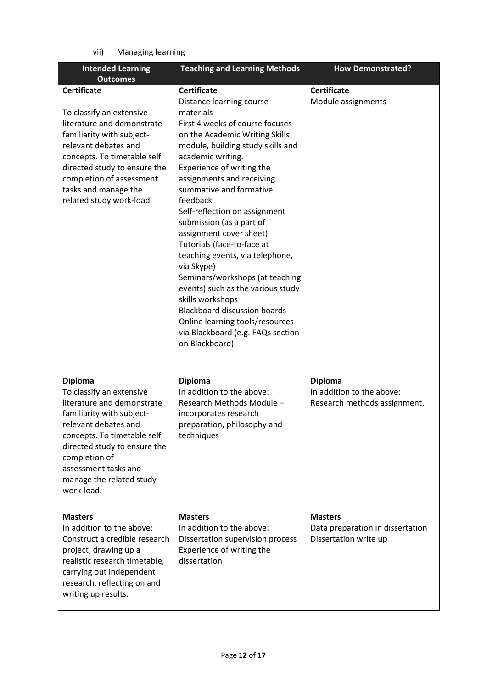vii) Managing learning

| <b>Intended Learning</b><br><b>Outcomes</b>                                                                                                                                                                                                                                      | <b>Teaching and Learning Methods</b>                                                                                                                                                                                                                                                                                                                                                                                                                                                                                                                                                                                                                                                            | <b>How Demonstrated?</b>                                                    |
|----------------------------------------------------------------------------------------------------------------------------------------------------------------------------------------------------------------------------------------------------------------------------------|-------------------------------------------------------------------------------------------------------------------------------------------------------------------------------------------------------------------------------------------------------------------------------------------------------------------------------------------------------------------------------------------------------------------------------------------------------------------------------------------------------------------------------------------------------------------------------------------------------------------------------------------------------------------------------------------------|-----------------------------------------------------------------------------|
| <b>Certificate</b><br>To classify an extensive<br>literature and demonstrate<br>familiarity with subject-<br>relevant debates and<br>concepts. To timetable self<br>directed study to ensure the<br>completion of assessment<br>tasks and manage the<br>related study work-load. | <b>Certificate</b><br>Distance learning course<br>materials<br>First 4 weeks of course focuses<br>on the Academic Writing Skills<br>module, building study skills and<br>academic writing.<br>Experience of writing the<br>assignments and receiving<br>summative and formative<br>feedback<br>Self-reflection on assignment<br>submission (as a part of<br>assignment cover sheet)<br>Tutorials (face-to-face at<br>teaching events, via telephone,<br>via Skype)<br>Seminars/workshops (at teaching<br>events) such as the various study<br>skills workshops<br><b>Blackboard discussion boards</b><br>Online learning tools/resources<br>via Blackboard (e.g. FAQs section<br>on Blackboard) | <b>Certificate</b><br>Module assignments                                    |
| <b>Diploma</b><br>To classify an extensive<br>literature and demonstrate<br>familiarity with subject-<br>relevant debates and<br>concepts. To timetable self<br>directed study to ensure the<br>completion of<br>assessment tasks and<br>manage the related study<br>work-load.  | <b>Diploma</b><br>In addition to the above:<br>Research Methods Module -<br>incorporates research<br>preparation, philosophy and<br>techniques                                                                                                                                                                                                                                                                                                                                                                                                                                                                                                                                                  | <b>Diploma</b><br>In addition to the above:<br>Research methods assignment. |
| <b>Masters</b><br>In addition to the above:<br>Construct a credible research<br>project, drawing up a<br>realistic research timetable,<br>carrying out independent<br>research, reflecting on and<br>writing up results.                                                         | <b>Masters</b><br>In addition to the above:<br>Dissertation supervision process<br>Experience of writing the<br>dissertation                                                                                                                                                                                                                                                                                                                                                                                                                                                                                                                                                                    | <b>Masters</b><br>Data preparation in dissertation<br>Dissertation write up |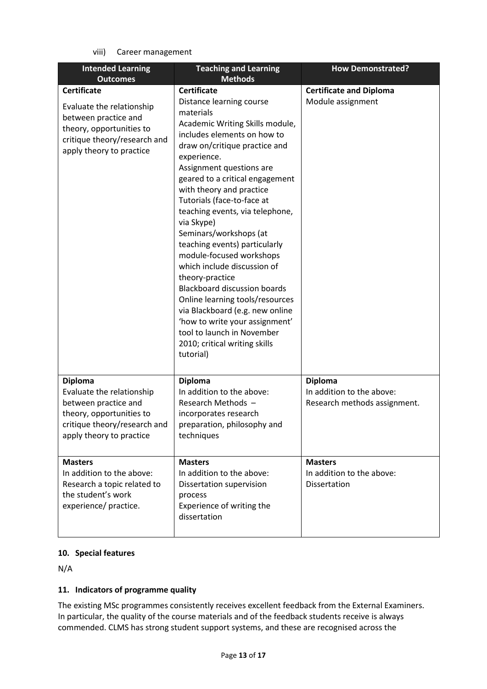viii) Career management

| <b>Intended Learning</b><br><b>Outcomes</b>                                                                                                                     | <b>Teaching and Learning</b><br><b>Methods</b>                                                                                                                                                                                                                                                                                                                                                                                                                                                                                                                                                                                                                                                                              | <b>How Demonstrated?</b>                                                    |
|-----------------------------------------------------------------------------------------------------------------------------------------------------------------|-----------------------------------------------------------------------------------------------------------------------------------------------------------------------------------------------------------------------------------------------------------------------------------------------------------------------------------------------------------------------------------------------------------------------------------------------------------------------------------------------------------------------------------------------------------------------------------------------------------------------------------------------------------------------------------------------------------------------------|-----------------------------------------------------------------------------|
|                                                                                                                                                                 |                                                                                                                                                                                                                                                                                                                                                                                                                                                                                                                                                                                                                                                                                                                             |                                                                             |
| <b>Certificate</b><br>Evaluate the relationship<br>between practice and<br>theory, opportunities to<br>critique theory/research and<br>apply theory to practice | <b>Certificate</b><br>Distance learning course<br>materials<br>Academic Writing Skills module,<br>includes elements on how to<br>draw on/critique practice and<br>experience.<br>Assignment questions are<br>geared to a critical engagement<br>with theory and practice<br>Tutorials (face-to-face at<br>teaching events, via telephone,<br>via Skype)<br>Seminars/workshops (at<br>teaching events) particularly<br>module-focused workshops<br>which include discussion of<br>theory-practice<br><b>Blackboard discussion boards</b><br>Online learning tools/resources<br>via Blackboard (e.g. new online<br>'how to write your assignment'<br>tool to launch in November<br>2010; critical writing skills<br>tutorial) | <b>Certificate and Diploma</b><br>Module assignment                         |
| <b>Diploma</b><br>Evaluate the relationship<br>between practice and<br>theory, opportunities to<br>critique theory/research and<br>apply theory to practice     | <b>Diploma</b><br>In addition to the above:<br>Research Methods -<br>incorporates research<br>preparation, philosophy and<br>techniques                                                                                                                                                                                                                                                                                                                                                                                                                                                                                                                                                                                     | <b>Diploma</b><br>In addition to the above:<br>Research methods assignment. |
| <b>Masters</b><br>In addition to the above:<br>Research a topic related to<br>the student's work<br>experience/ practice.                                       | <b>Masters</b><br>In addition to the above:<br>Dissertation supervision<br>process<br>Experience of writing the<br>dissertation                                                                                                                                                                                                                                                                                                                                                                                                                                                                                                                                                                                             | <b>Masters</b><br>In addition to the above:<br>Dissertation                 |

# **10. Special features**

N/A

# **11. Indicators of programme quality**

The existing MSc programmes consistently receives excellent feedback from the External Examiners. In particular, the quality of the course materials and of the feedback students receive is always commended. CLMS has strong student support systems, and these are recognised across the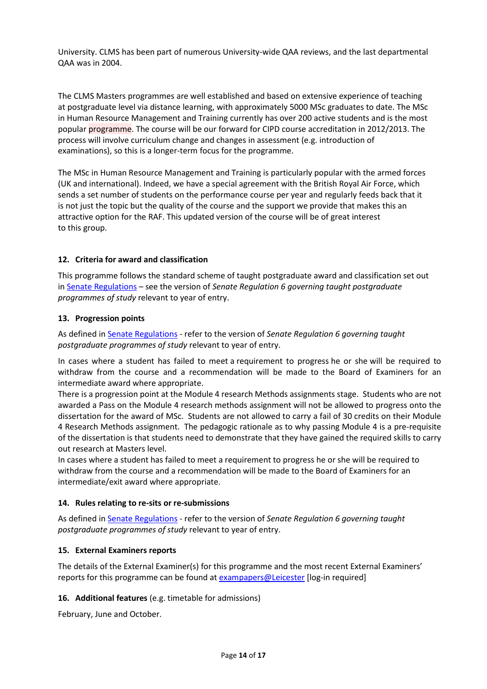University. CLMS has been part of numerous University-wide QAA reviews, and the last departmental QAA was in 2004.

The CLMS Masters programmes are well established and based on extensive experience of teaching at postgraduate level via distance learning, with approximately 5000 MSc graduates to date. The MSc in Human Resource Management and Training currently has over 200 active students and is the most popular programme. The course will be our forward for CIPD course accreditation in 2012/2013. The process will involve curriculum change and changes in assessment (e.g. introduction of examinations), so this is a longer-term focus for the programme.

The MSc in Human Resource Management and Training is particularly popular with the armed forces (UK and international). Indeed, we have a special agreement with the British Royal Air Force, which sends a set number of students on the performance course per year and regularly feeds back that it is not just the topic but the quality of the course and the support we provide that makes this an attractive option for the RAF. This updated version of the course will be of great interest to this group.

# **12. Criteria for award and classification**

This programme follows the standard scheme of taught postgraduate award and classification set out i[n Senate Regulations](http://www.le.ac.uk/senate-regulations) – see the version of *Senate Regulation 6 governing taught postgraduate programmes of study* relevant to year of entry.

# **13. Progression points**

As defined i[n Senate Regulations](http://www.le.ac.uk/senate-regulation6) - refer to the version of *Senate Regulation 6 governing taught postgraduate programmes of study* relevant to year of entry.

In cases where a student has failed to meet a requirement to progress he or she will be required to withdraw from the course and a recommendation will be made to the Board of Examiners for an intermediate award where appropriate.

There is a progression point at the Module 4 research Methods assignments stage. Students who are not awarded a Pass on the Module 4 research methods assignment will not be allowed to progress onto the dissertation for the award of MSc. Students are not allowed to carry a fail of 30 credits on their Module 4 Research Methods assignment.  The pedagogic rationale as to why passing Module 4 is a pre-requisite of the dissertation is that students need to demonstrate that they have gained the required skills to carry out research at Masters level.

In cases where a student has failed to meet a requirement to progress he or she will be required to withdraw from the course and a recommendation will be made to the Board of Examiners for an intermediate/exit award where appropriate.

# **14. Rules relating to re-sits or re-submissions**

As defined i[n Senate Regulations](http://www.le.ac.uk/senate-regulation6) - refer to the version of *Senate Regulation 6 governing taught postgraduate programmes of study* relevant to year of entry.

# **15. External Examiners reports**

The details of the External Examiner(s) for this programme and the most recent External Examiners' reports for this programme can be found at **exampapers@Leicester** [log-in required]

# **16. Additional features** (e.g. timetable for admissions)

February, June and October.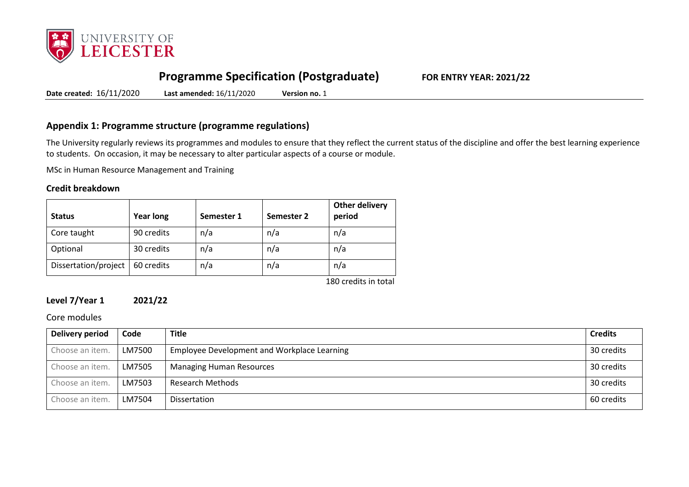

# **Programme Specification (Postgraduate) FOR ENTRY YEAR: 2021/22**

**Date created:** 16/11/2020 **Last amended:** 16/11/2020 **Version no.** 1

# **Appendix 1: Programme structure (programme regulations)**

The University regularly reviews its programmes and modules to ensure that they reflect the current status of the discipline and offer the best learning experience to students. On occasion, it may be necessary to alter particular aspects of a course or module.

MSc in Human Resource Management and Training

#### **Credit breakdown**

| <b>Status</b>        | <b>Year long</b> | Semester 1 | Semester 2 | Other delivery<br>period |
|----------------------|------------------|------------|------------|--------------------------|
| Core taught          | 90 credits       | n/a        | n/a        | n/a                      |
| Optional             | 30 credits       | n/a        | n/a        | n/a                      |
| Dissertation/project | 60 credits       | n/a        | n/a        | n/a                      |
|                      |                  |            |            | 180 credits in total     |

#### **Level 7/Year 1 2021/22**

#### Core modules

| Delivery period | Code   | <b>Title</b>                                | <b>Credits</b> |
|-----------------|--------|---------------------------------------------|----------------|
| Choose an item. | LM7500 | Employee Development and Workplace Learning | 30 credits     |
| Choose an item. | LM7505 | <b>Managing Human Resources</b>             | 30 credits     |
| Choose an item. | LM7503 | Research Methods                            | 30 credits     |
| Choose an item. | LM7504 | Dissertation                                | 60 credits     |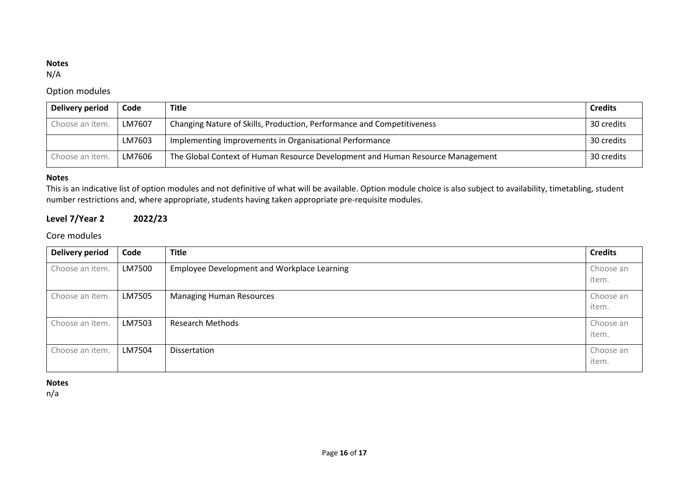# **Notes**

N/A

# Option modules

| Delivery period | Code   | <b>Title</b>                                                                   | <b>Credits</b> |
|-----------------|--------|--------------------------------------------------------------------------------|----------------|
| Choose an item. | LM7607 | Changing Nature of Skills, Production, Performance and Competitiveness         | 30 credits     |
|                 | LM7603 | Implementing Improvements in Organisational Performance                        | 30 credits     |
| Choose an item. | LM7606 | The Global Context of Human Resource Development and Human Resource Management | 30 credits     |

#### **Notes**

This is an indicative list of option modules and not definitive of what will be available. Option module choice is also subject to availability, timetabling, student number restrictions and, where appropriate, students having taken appropriate pre-requisite modules.

# **Level 7/Year 2 2022/23**

# Core modules

| <b>Delivery period</b> | Code   | <b>Title</b>                                | <b>Credits</b>     |
|------------------------|--------|---------------------------------------------|--------------------|
| Choose an item.        | LM7500 | Employee Development and Workplace Learning | Choose an<br>item. |
| Choose an item.        | LM7505 | <b>Managing Human Resources</b>             | Choose an<br>item. |
| Choose an item.        | LM7503 | <b>Research Methods</b>                     | Choose an<br>item. |
| Choose an item.        | LM7504 | Dissertation                                | Choose an<br>item. |

#### **Notes**

n/a